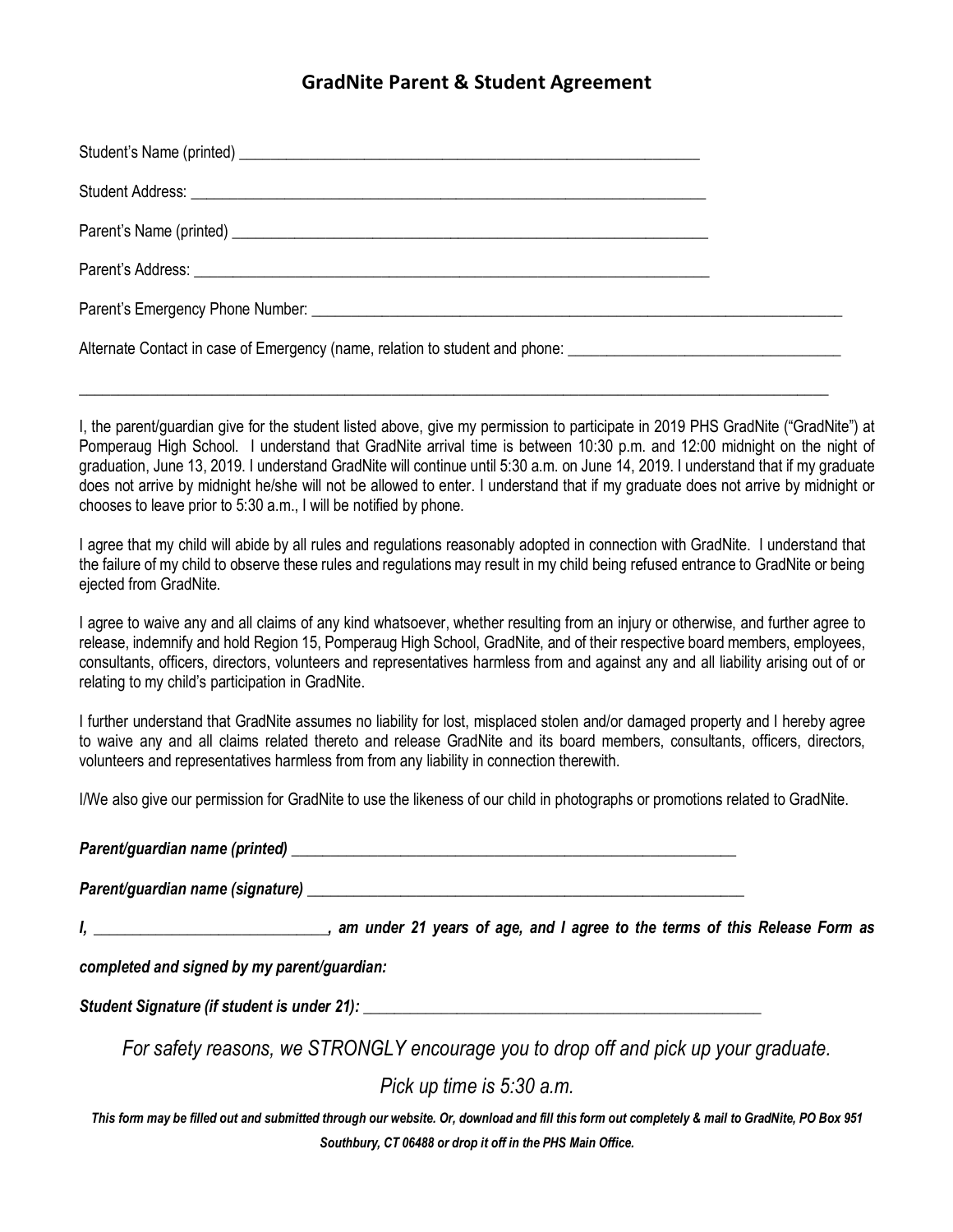## **GradNite Parent & Student Agreement**

| Parent's Emergency Phone Number: University of the Contract of the Contract of the Contract of the Contract of the Contract of the Contract of the Contract of the Contract of the Contract of the Contract of the Contract of |  |
|--------------------------------------------------------------------------------------------------------------------------------------------------------------------------------------------------------------------------------|--|
| Alternate Contact in case of Emergency (name, relation to student and phone: _________________________________                                                                                                                 |  |

\_\_\_\_\_\_\_\_\_\_\_\_\_\_\_\_\_\_\_\_\_\_\_\_\_\_\_\_\_\_\_\_\_\_\_\_\_\_\_\_\_\_\_\_\_\_\_\_\_\_\_\_\_\_\_\_\_\_\_\_\_\_\_\_\_\_\_\_\_\_\_\_\_\_\_\_\_\_\_\_\_\_\_\_\_\_\_\_\_\_\_\_\_\_\_\_

I, the parent/guardian give for the student listed above, give my permission to participate in 2019 PHS GradNite ("GradNite") at Pomperaug High School. I understand that GradNite arrival time is between 10:30 p.m. and 12:00 midnight on the night of graduation, June 13, 2019. I understand GradNite will continue until 5:30 a.m. on June 14, 2019. I understand that if my graduate does not arrive by midnight he/she will not be allowed to enter. I understand that if my graduate does not arrive by midnight or chooses to leave prior to 5:30 a.m., I will be notified by phone.

I agree that my child will abide by all rules and regulations reasonably adopted in connection with GradNite. I understand that the failure of my child to observe these rules and regulations may result in my child being refused entrance to GradNite or being ejected from GradNite.

I agree to waive any and all claims of any kind whatsoever, whether resulting from an injury or otherwise, and further agree to release, indemnify and hold Region 15, Pomperaug High School, GradNite, and of their respective board members, employees, consultants, officers, directors, volunteers and representatives harmless from and against any and all liability arising out of or relating to my child's participation in GradNite.

I further understand that GradNite assumes no liability for lost, misplaced stolen and/or damaged property and I hereby agree to waive any and all claims related thereto and release GradNite and its board members, consultants, officers, directors, volunteers and representatives harmless from from any liability in connection therewith.

I/We also give our permission for GradNite to use the likeness of our child in photographs or promotions related to GradNite.

*Parent/guardian name (printed) \_\_\_\_\_\_\_\_\_\_\_\_\_\_\_\_\_\_\_\_\_\_\_\_\_\_\_\_\_\_\_\_\_\_\_\_\_\_\_\_\_\_\_\_\_\_\_\_\_\_\_\_\_\_\_\_\_*

*Parent/guardian name (signature) \_\_\_\_\_\_\_\_\_\_\_\_\_\_\_\_\_\_\_\_\_\_\_\_\_\_\_\_\_\_\_\_\_\_\_\_\_\_\_\_\_\_\_\_\_\_\_\_\_\_\_\_\_\_\_\_*

*I, \_\_\_\_\_\_\_\_\_\_\_\_\_\_\_\_\_\_\_\_\_\_\_\_\_\_\_\_\_\_, am under 21 years of age, and I agree to the terms of this Release Form as* 

*completed and signed by my parent/guardian:*

*Student Signature (if student is under 21): \_\_\_\_\_\_\_\_\_\_\_\_\_\_\_\_\_\_\_\_\_\_\_\_\_\_\_\_\_\_\_\_\_\_\_\_\_\_\_\_\_\_\_\_\_\_\_\_\_\_\_*

*For safety reasons, we STRONGLY encourage you to drop off and pick up your graduate.*

*Pick up time is 5:30 a.m.*

*This form may be filled out and submitted through our website. Or, download and fill this form out completely & mail to GradNite, PO Box 951 Southbury, CT 06488 or drop it off in the PHS Main Office.*